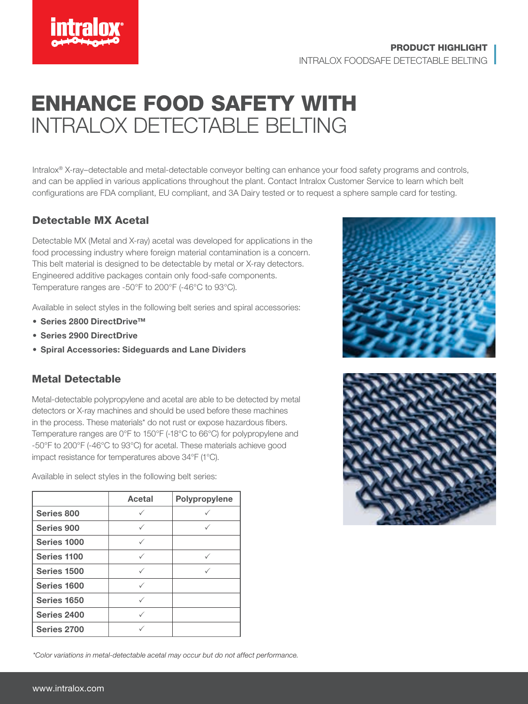

## ENHANCE FOOD SAFETY WITH INTRALOX DETECTABLE BELTING

Intralox® X-ray–detectable and metal-detectable conveyor belting can enhance your food safety programs and controls, and can be applied in various applications throughout the plant. Contact Intralox Customer Service to learn which belt configurations are FDA compliant, EU compliant, and 3A Dairy tested or to request a sphere sample card for testing.

## Detectable MX Acetal

Detectable MX (Metal and X-ray) acetal was developed for applications in the food processing industry where foreign material contamination is a concern. This belt material is designed to be detectable by metal or X-ray detectors. Engineered additive packages contain only food-safe components. Temperature ranges are -50°F to 200°F (-46°C to 93°C).

Available in select styles in the following belt series and spiral accessories:

- Series 2800 DirectDrive™
- Series 2900 DirectDrive
- Spiral Accessories: Sideguards and Lane Dividers

## Metal Detectable

Metal-detectable polypropylene and acetal are able to be detected by metal detectors or X-ray machines and should be used before these machines in the process. These materials\* do not rust or expose hazardous fibers. Temperature ranges are 0°F to 150°F (-18°C to 66°C) for polypropylene and -50°F to 200°F (-46°C to 93°C) for acetal. These materials achieve good impact resistance for temperatures above 34°F (1°C).

|             | Acetal | Polypropylene |
|-------------|--------|---------------|
| Series 800  |        |               |
| Series 900  |        |               |
| Series 1000 |        |               |
| Series 1100 | ✓      |               |
| Series 1500 |        |               |
| Series 1600 | ✓      |               |
| Series 1650 |        |               |
| Series 2400 |        |               |
| Series 2700 |        |               |

Available in select styles in the following belt series:





*\*Color variations in metal-detectable acetal may occur but do not affect performance.*